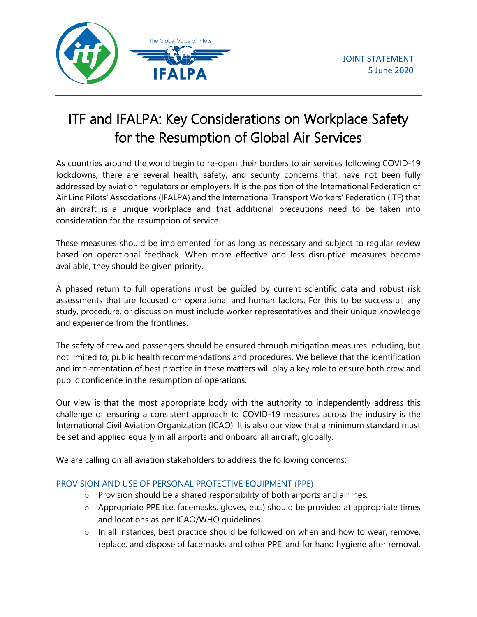

# ITF and IFALPA: Key Considerations on Workplace Safety for the Resumption of Global Air Services

As countries around the world begin to re-open their borders to air services following COVID-19 lockdowns, there are several health, safety, and security concerns that have not been fully addressed by aviation regulators or employers. It is the position of the International Federation of Air Line Pilots' Associations (IFALPA) and the International Transport Workers' Federation (ITF) that an aircraft is a unique workplace and that additional precautions need to be taken into consideration for the resumption of service.

These measures should be implemented for as long as necessary and subject to regular review based on operational feedback. When more effective and less disruptive measures become available, they should be given priority.

A phased return to full operations must be guided by current scientific data and robust risk assessments that are focused on operational and human factors. For this to be successful, any study, procedure, or discussion must include worker representatives and their unique knowledge and experience from the frontlines.

The safety of crew and passengers should be ensured through mitigation measures including, but not limited to, public health recommendations and procedures. We believe that the identification and implementation of best practice in these matters will play a key role to ensure both crew and public confidence in the resumption of operations.

Our view is that the most appropriate body with the authority to independently address this challenge of ensuring a consistent approach to COVID-19 measures across the industry is the International Civil Aviation Organization (ICAO). It is also our view that a minimum standard must be set and applied equally in all airports and onboard all aircraft, globally.

We are calling on all aviation stakeholders to address the following concerns:

## PROVISION AND USE OF PERSONAL PROTECTIVE EQUIPMENT (PPE)

- o Provision should be a shared responsibility of both airports and airlines.
- o Appropriate PPE (i.e. facemasks, gloves, etc.) should be provided at appropriate times and locations as per ICAO/WHO guidelines.
- $\circ$  In all instances, best practice should be followed on when and how to wear, remove, replace, and dispose of facemasks and other PPE, and for hand hygiene after removal.